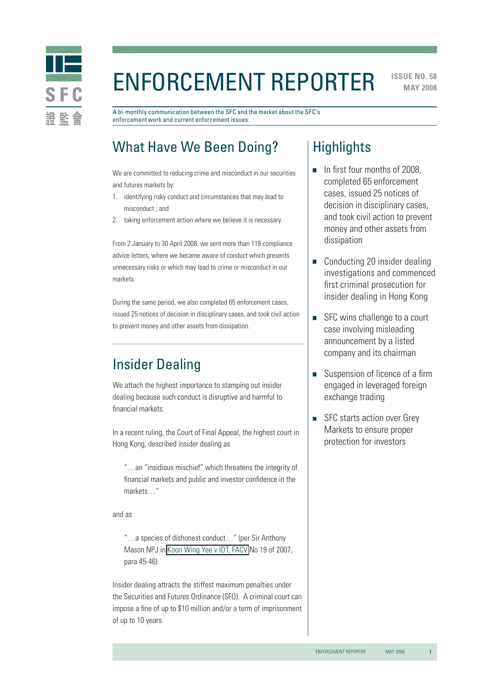

# ENFORCEMENT REPORTER

**ISSUE NO. 58 MAY 2008** 

A bi-monthly communication between the SFC and the market about the SFC's enforcement work and current enforcement issues.

# What Have We Been Doing?

We are committed to reducing crime and misconduct in our securities and futures markets by:

- 1. identifying risky conduct and circumstances that may lead to misconduct ; and
- 2. taking enforcement action where we believe it is necessary.

From 2 January to 30 April 2008, we sent more than 119 compliance advice letters, where we became aware of conduct which presents unnecessary risks or which may lead to crime or misconduct in our markets.

During the same period, we also completed 65 enforcement cases, issued 25 notices of decision in disciplinary cases, and took civil action to prevent money and other assets from dissipation.

# Insider Dealing

We attach the highest importance to stamping out insider dealing because such conduct is disruptive and harmful to financial markets.

In a recent ruling, the Court of Final Appeal, the highest court in Hong Kong, described insider dealing as

"…an "insidious mischief" which threatens the integrity of financial markets and public and investor confidence in the markets…"

and as

"…a species of dishonest conduct…" (per Sir Anthony Mason NPJ in [Koon Wing Yee v IDT, FACV](http://legalref.judiciary.gov.hk/lrs/common/search/search_result_detail_body.jsp?ID=&DIS=60481&QS=%28%7Bfacv19%2F2007%7D%7C%7BFACV000019%2F2007%7D+%25caseno%29&TP=JU#) No 19 of 2007, para 45-46)

Insider dealing attracts the stiffest maximum penalties under the Securities and Futures Ordinance (SFO). A criminal court can impose a fine of up to \$10 million and/or a term of imprisonment of up to 10 years.

# **Highlights**

- $\blacksquare$  In first four months of 2008. completed 65 enforcement cases, issued 25 notices of decision in disciplinary cases, and took civil action to prevent money and other assets from dissipation
- Conducting 20 insider dealing investigations and commenced first criminal prosecution for insider dealing in Hong Kong
- SFC wins challenge to a court T. case involving misleading announcement by a listed company and its chairman
- Suspension of licence of a firm  $\mathcal{L}_{\mathcal{A}}$ engaged in leveraged foreign exchange trading
- SFC starts action over Grey Markets to ensure proper protection for investors

1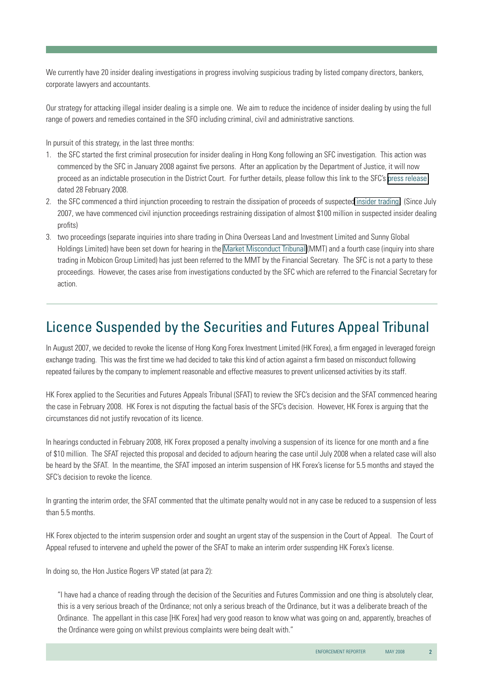We currently have 20 insider dealing investigations in progress involving suspicious trading by listed company directors, bankers, corporate lawyers and accountants.

Our strategy for attacking illegal insider dealing is a simple one. We aim to reduce the incidence of insider dealing by using the full range of powers and remedies contained in the SFO including criminal, civil and administrative sanctions.

In pursuit of this strategy, in the last three months:

- 1. the SFC started the first criminal prosecution for insider dealing in Hong Kong following an SFC investigation. This action was commenced by the SFC in January 2008 against five persons. After an application by the Department of Justice, it will now proceed as an indictable prosecution in the District Court. For further details, please follow this link to the SFC's [press release](http://www.sfc.hk/sfcPressRelease/EN/sfcOpenDocServlet?docno=08PR25) dated 28 February 2008.
- 2. the SFC commenced a third injunction proceeding to restrain the dissipation of proceeds of suspecte[d insider trading.](http://www.sfc.hk/sfcPressRelease/EN/sfcOpenDocServlet?docno=08PR66) (Since July 2007, we have commenced civil injunction proceedings restraining dissipation of almost \$100 million in suspected insider dealing profits)
- 3. two proceedings (separate inquiries into share trading in China Overseas Land and Investment Limited and Sunny Global Holdings Limited) have been set down for hearing in the [Market Misconduct Tribunal](http://www.mmt.gov.hk/eng/home/home.htm) (MMT) and a fourth case (inquiry into share trading in Mobicon Group Limited) has just been referred to the MMT by the Financial Secretary. The SFC is not a party to these proceedings. However, the cases arise from investigations conducted by the SFC which are referred to the Financial Secretary for action.

# Licence Suspended by the Securities and Futures Appeal Tribunal

In August 2007, we decided to revoke the license of Hong Kong Forex Investment Limited (HK Forex), a firm engaged in leveraged foreign exchange trading. This was the first time we had decided to take this kind of action against a firm based on misconduct following repeated failures by the company to implement reasonable and effective measures to prevent unlicensed activities by its staff.

HK Forex applied to the Securities and Futures Appeals Tribunal (SFAT) to review the SFC's decision and the SFAT commenced hearing the case in February 2008. HK Forex is not disputing the factual basis of the SFC's decision. However, HK Forex is arguing that the circumstances did not justify revocation of its licence.

In hearings conducted in February 2008, HK Forex proposed a penalty involving a suspension of its licence for one month and a fine of \$10 million. The SFAT rejected this proposal and decided to adjourn hearing the case until July 2008 when a related case will also be heard by the SFAT. In the meantime, the SFAT imposed an interim suspension of HK Forex's license for 5.5 months and stayed the SFC's decision to revoke the licence.

In granting the interim order, the SFAT commented that the ultimate penalty would not in any case be reduced to a suspension of less than 5.5 months.

HK Forex objected to the interim suspension order and sought an urgent stay of the suspension in the Court of Appeal. The Court of Appeal refused to intervene and upheld the power of the SFAT to make an interim order suspending HK Forex's license.

In doing so, the Hon Justice Rogers VP stated (at para 2):

"I have had a chance of reading through the decision of the Securities and Futures Commission and one thing is absolutely clear, this is a very serious breach of the Ordinance; not only a serious breach of the Ordinance, but it was a deliberate breach of the Ordinance. The appellant in this case [HK Forex] had very good reason to know what was going on and, apparently, breaches of the Ordinance were going on whilst previous complaints were being dealt with."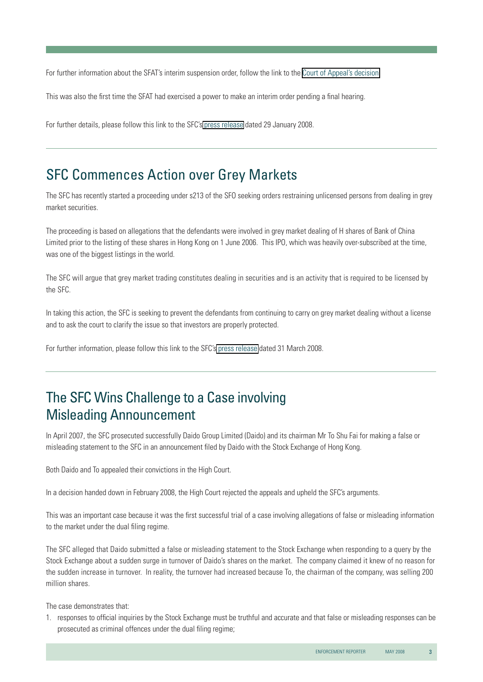For further information about the SFAT's interim suspension order, follow the link to the [Court of Appeal's decision.](http://legalref.judiciary.gov.hk/lrs/common/search/search_result_detail_body.jsp?ID=&DIS=59992&QS=%28cacv%7C26%2F2008%29&TP=JU#)

This was also the first time the SFAT had exercised a power to make an interim order pending a final hearing.

For further details, please follow this link to the SFC's [press release](http://www.sfc.hk/sfcPressRelease/EN/sfcOpenDocServlet?docno=08PR13) dated 29 January 2008.

### SFC Commences Action over Grey Markets

The SFC has recently started a proceeding under s213 of the SFO seeking orders restraining unlicensed persons from dealing in grey market securities.

The proceeding is based on allegations that the defendants were involved in grey market dealing of H shares of Bank of China Limited prior to the listing of these shares in Hong Kong on 1 June 2006. This IPO, which was heavily over-subscribed at the time, was one of the biggest listings in the world.

The SFC will argue that grey market trading constitutes dealing in securities and is an activity that is required to be licensed by the SFC.

In taking this action, the SFC is seeking to prevent the defendants from continuing to carry on grey market dealing without a license and to ask the court to clarify the issue so that investors are properly protected.

For further information, please follow this link to the SFC's [press release](http://www.sfc.hk/sfcPressRelease/EN/sfcOpenDocServlet?docno=08PR46) dated 31 March 2008.

# The SFC Wins Challenge to a Case involving Misleading Announcement

In April 2007, the SFC prosecuted successfully Daido Group Limited (Daido) and its chairman Mr To Shu Fai for making a false or misleading statement to the SFC in an announcement filed by Daido with the Stock Exchange of Hong Kong.

Both Daido and To appealed their convictions in the High Court.

In a decision handed down in February 2008, the High Court rejected the appeals and upheld the SFC's arguments.

This was an important case because it was the first successful trial of a case involving allegations of false or misleading information to the market under the dual filing regime.

The SFC alleged that Daido submitted a false or misleading statement to the Stock Exchange when responding to a query by the Stock Exchange about a sudden surge in turnover of Daido's shares on the market. The company claimed it knew of no reason for the sudden increase in turnover. In reality, the turnover had increased because To, the chairman of the company, was selling 200 million shares.

The case demonstrates that:

1. responses to official inquiries by the Stock Exchange must be truthful and accurate and that false or misleading responses can be prosecuted as criminal offences under the dual filing regime;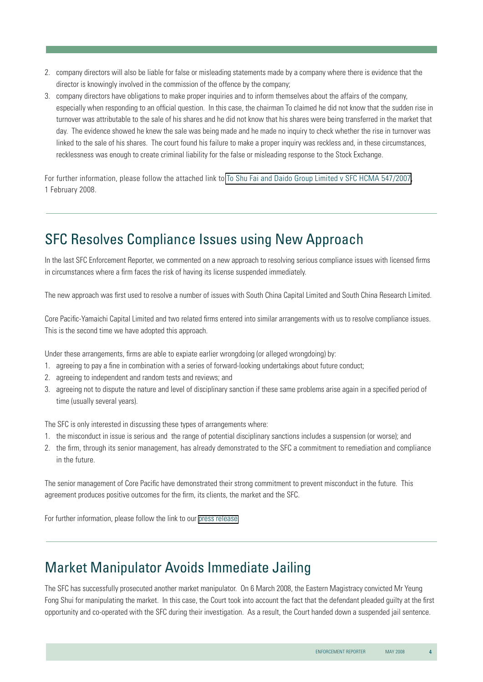- 2. company directors will also be liable for false or misleading statements made by a company where there is evidence that the director is knowingly involved in the commission of the offence by the company;
- 3. company directors have obligations to make proper inquiries and to inform themselves about the affairs of the company, especially when responding to an official question. In this case, the chairman To claimed he did not know that the sudden rise in turnover was attributable to the sale of his shares and he did not know that his shares were being transferred in the market that day. The evidence showed he knew the sale was being made and he made no inquiry to check whether the rise in turnover was linked to the sale of his shares. The court found his failure to make a proper inquiry was reckless and, in these circumstances, recklessness was enough to create criminal liability for the false or misleading response to the Stock Exchange.

For further information, please follow the attached link to [To Shu Fai and Daido Group Limited v SFC HCMA 547/2007,](http://legalref.judiciary.gov.hk/lrs/common/search/search_result_detail_body.jsp?ID=&DIS=60002&QS=%28%7Bhcma547%2F2007%7D%7C%7BHCMA000547%2F2007%7D+%25caseno%29&TP=JU#) 1 February 2008.

# SFC Resolves Compliance Issues using New Approach

In the last SFC Enforcement Reporter, we commented on a new approach to resolving serious compliance issues with licensed firms in circumstances where a firm faces the risk of having its license suspended immediately.

The new approach was first used to resolve a number of issues with South China Capital Limited and South China Research Limited.

Core Pacific-Yamaichi Capital Limited and two related firms entered into similar arrangements with us to resolve compliance issues. This is the second time we have adopted this approach.

Under these arrangements, firms are able to expiate earlier wrongdoing (or alleged wrongdoing) by:

- 1. agreeing to pay a fine in combination with a series of forward-looking undertakings about future conduct;
- 2. agreeing to independent and random tests and reviews; and
- 3. agreeing not to dispute the nature and level of disciplinary sanction if these same problems arise again in a specified period of time (usually several years).

The SFC is only interested in discussing these types of arrangements where:

- 1. the misconduct in issue is serious and the range of potential disciplinary sanctions includes a suspension (or worse); and
- 2. the firm, through its senior management, has already demonstrated to the SFC a commitment to remediation and compliance in the future.

The senior management of Core Pacific have demonstrated their strong commitment to prevent misconduct in the future. This agreement produces positive outcomes for the firm, its clients, the market and the SFC.

For further information, please follow the link to our [press release.](http://www.sfc.hk/sfcPressRelease/EN/sfcOpenDocServlet?docno=08PR58)

### Market Manipulator Avoids Immediate Jailing

The SFC has successfully prosecuted another market manipulator. On 6 March 2008, the Eastern Magistracy convicted Mr Yeung Fong Shui for manipulating the market. In this case, the Court took into account the fact that the defendant pleaded guilty at the first opportunity and co-operated with the SFC during their investigation. As a result, the Court handed down a suspended jail sentence.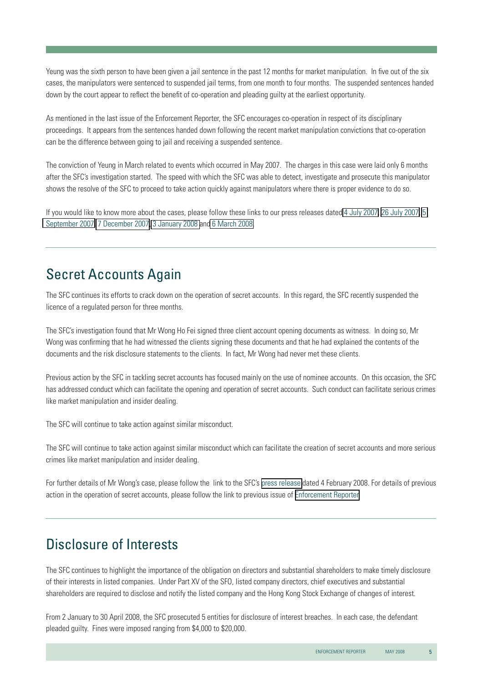Yeung was the sixth person to have been given a jail sentence in the past 12 months for market manipulation. In five out of the six cases, the manipulators were sentenced to suspended jail terms, from one month to four months. The suspended sentences handed down by the court appear to reflect the benefit of co-operation and pleading guilty at the earliest opportunity.

As mentioned in the last issue of the Enforcement Reporter, the SFC encourages co-operation in respect of its disciplinary proceedings. It appears from the sentences handed down following the recent market manipulation convictions that co-operation can be the difference between going to jail and receiving a suspended sentence.

The conviction of Yeung in March related to events which occurred in May 2007. The charges in this case were laid only 6 months after the SFC's investigation started. The speed with which the SFC was able to detect, investigate and prosecute this manipulator shows the resolve of the SFC to proceed to take action quickly against manipulators where there is proper evidence to do so.

If you would like to know more about the cases, please follow these links to our press releases date[d 4 July 2007,](http://www.sfc.hk/sfcPressRelease/EN/sfcOpenDocServlet?docno=07PR113) [26 July 2007,](http://www.sfc.hk/sfcPressRelease/EN/sfcOpenDocServlet?docno=07PR126) [5](http://www.sfc.hk/sfcPressRelease/EN/sfcOpenDocServlet?docno=07PR148)  [September 2007,](http://www.sfc.hk/sfcPressRelease/EN/sfcOpenDocServlet?docno=07PR148) [7 December 2007,](http://www.sfc.hk/sfcPressRelease/EN/sfcOpenDocServlet?docno=07PR213) [3 January 2008](http://www.sfc.hk/sfcPressRelease/EN/sfcOpenDocServlet?docno=08PR3) an[d 6 March 2008.](http://www.sfc.hk/sfcPressRelease/EN/sfcOpenDocServlet?docno=08PR32)

# Secret Accounts Again

The SFC continues its efforts to crack down on the operation of secret accounts. In this regard, the SFC recently suspended the licence of a regulated person for three months.

The SFC's investigation found that Mr Wong Ho Fei signed three client account opening documents as witness. In doing so, Mr Wong was confirming that he had witnessed the clients signing these documents and that he had explained the contents of the documents and the risk disclosure statements to the clients. In fact, Mr Wong had never met these clients.

Previous action by the SFC in tackling secret accounts has focused mainly on the use of nominee accounts. On this occasion, the SFC has addressed conduct which can facilitate the opening and operation of secret accounts. Such conduct can facilitate serious crimes like market manipulation and insider dealing.

The SFC will continue to take action against similar misconduct.

The SFC will continue to take action against similar misconduct which can facilitate the creation of secret accounts and more serious crimes like market manipulation and insider dealing.

For further details of Mr Wong's case, please follow the link to the SFC's [press release](http://www.sfc.hk/sfcPressRelease/EN/sfcOpenDocServlet?docno=08PR19) dated 4 February 2008. For details of previous action in the operation of secret accounts, please follow the link to previous issue of [Enforcement Reporter.](http://www.sfc.hk/sfc/doc/EN/speeches/public/enforcement/08/jan_08.pdf)

# Disclosure of Interests

The SFC continues to highlight the importance of the obligation on directors and substantial shareholders to make timely disclosure of their interests in listed companies. Under Part XV of the SFO, listed company directors, chief executives and substantial shareholders are required to disclose and notify the listed company and the Hong Kong Stock Exchange of changes of interest.

From 2 January to 30 April 2008, the SFC prosecuted 5 entities for disclosure of interest breaches. In each case, the defendant pleaded guilty. Fines were imposed ranging from \$4,000 to \$20,000.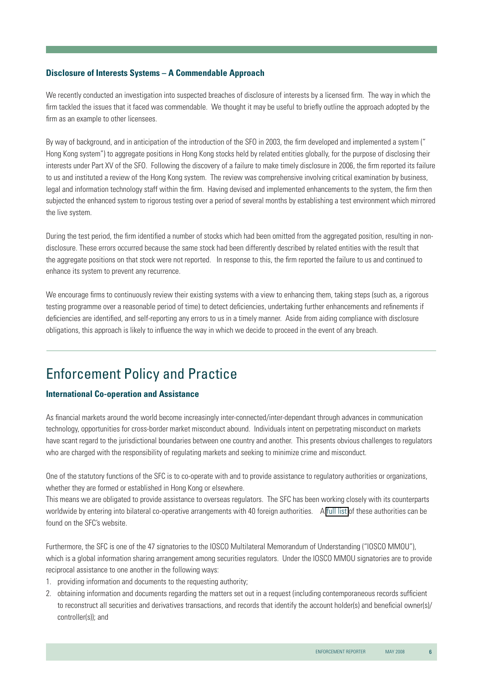#### **Disclosure of Interests Systems – A Commendable Approach**

We recently conducted an investigation into suspected breaches of disclosure of interests by a licensed firm. The way in which the firm tackled the issues that it faced was commendable. We thought it may be useful to briefly outline the approach adopted by the firm as an example to other licensees.

By way of background, and in anticipation of the introduction of the SFO in 2003, the firm developed and implemented a system (" Hong Kong system") to aggregate positions in Hong Kong stocks held by related entities globally, for the purpose of disclosing their interests under Part XV of the SFO. Following the discovery of a failure to make timely disclosure in 2006, the firm reported its failure to us and instituted a review of the Hong Kong system. The review was comprehensive involving critical examination by business, legal and information technology staff within the firm. Having devised and implemented enhancements to the system, the firm then subjected the enhanced system to rigorous testing over a period of several months by establishing a test environment which mirrored the live system.

During the test period, the firm identified a number of stocks which had been omitted from the aggregated position, resulting in nondisclosure. These errors occurred because the same stock had been differently described by related entities with the result that the aggregate positions on that stock were not reported. In response to this, the firm reported the failure to us and continued to enhance its system to prevent any recurrence.

We encourage firms to continuously review their existing systems with a view to enhancing them, taking steps (such as, a rigorous testing programme over a reasonable period of time) to detect deficiencies, undertaking further enhancements and refinements if deficiencies are identified, and self-reporting any errors to us in a timely manner. Aside from aiding compliance with disclosure obligations, this approach is likely to influence the way in which we decide to proceed in the event of any breach.

# Enforcement Policy and Practice

#### **International Co-operation and Assistance**

As financial markets around the world become increasingly inter-connected/inter-dependant through advances in communication technology, opportunities for cross-border market misconduct abound. Individuals intent on perpetrating misconduct on markets have scant regard to the jurisdictional boundaries between one country and another. This presents obvious challenges to regulators who are charged with the responsibility of regulating markets and seeking to minimize crime and misconduct.

One of the statutory functions of the SFC is to co-operate with and to provide assistance to regulatory authorities or organizations, whether they are formed or established in Hong Kong or elsewhere.

This means we are obligated to provide assistance to overseas regulators. The SFC has been working closely with its counterparts worldwide by entering into bilateral co-operative arrangements with 40 foreign authorities. A [full list](http://www.sfc.hk/sfc/html/EN/aboutsfc/cooperation/cooperation.html) of these authorities can be found on the SFC's website.

Furthermore, the SFC is one of the 47 signatories to the IOSCO Multilateral Memorandum of Understanding ("IOSCO MMOU"), which is a global information sharing arrangement among securities regulators. Under the IOSCO MMOU signatories are to provide reciprocal assistance to one another in the following ways:

- 1. providing information and documents to the requesting authority;
- 2. obtaining information and documents regarding the matters set out in a request (including contemporaneous records sufficient to reconstruct all securities and derivatives transactions, and records that identify the account holder(s) and beneficial owner(s)/ controller(s)); and